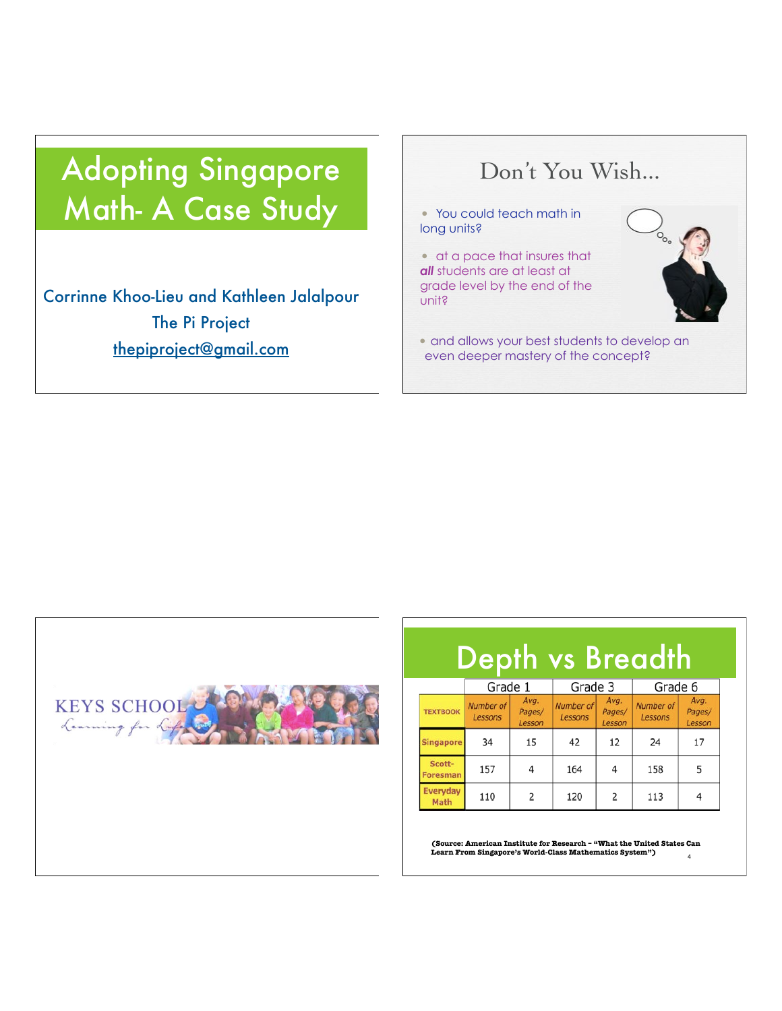# Adopting Singapore Math- A Case Study

Corrinne Khoo-Lieu and Kathleen Jalalpour The Pi Project thepiproject@gmail.com

## Don't You Wish...

• You could teach math in long units?

• at a pace that insures that *all* students are at least at grade level by the end of the unit?

• and allows your best students to develop an even deeper mastery of the concept?



| <b>Depth vs Breadth</b>   |                      |                          |                      |                          |                      |                          |
|---------------------------|----------------------|--------------------------|----------------------|--------------------------|----------------------|--------------------------|
|                           | Grade 1              |                          | Grade 3              |                          | Grade 6              |                          |
| <b>TEXTBOOK</b>           | Number of<br>Lessons | Avg.<br>Pages/<br>Lesson | Number of<br>Lessons | Avg.<br>Pages/<br>Lesson | Number of<br>Lessons | Avg.<br>Pages/<br>Lesson |
| <b>Singapore</b>          | 34                   | 15                       | 42                   | 12                       | 24                   | 17                       |
| Scott-<br><b>Foresman</b> | 157                  | 4                        | 164                  | 4                        | 158                  | 5                        |
| Everyday<br>Math          | 110                  | $\overline{2}$           | 120                  | 2                        | 113                  |                          |

4 **(Source: American Institute for Research – "What the United States Can Learn From Singapore's World-Class Mathematics System")**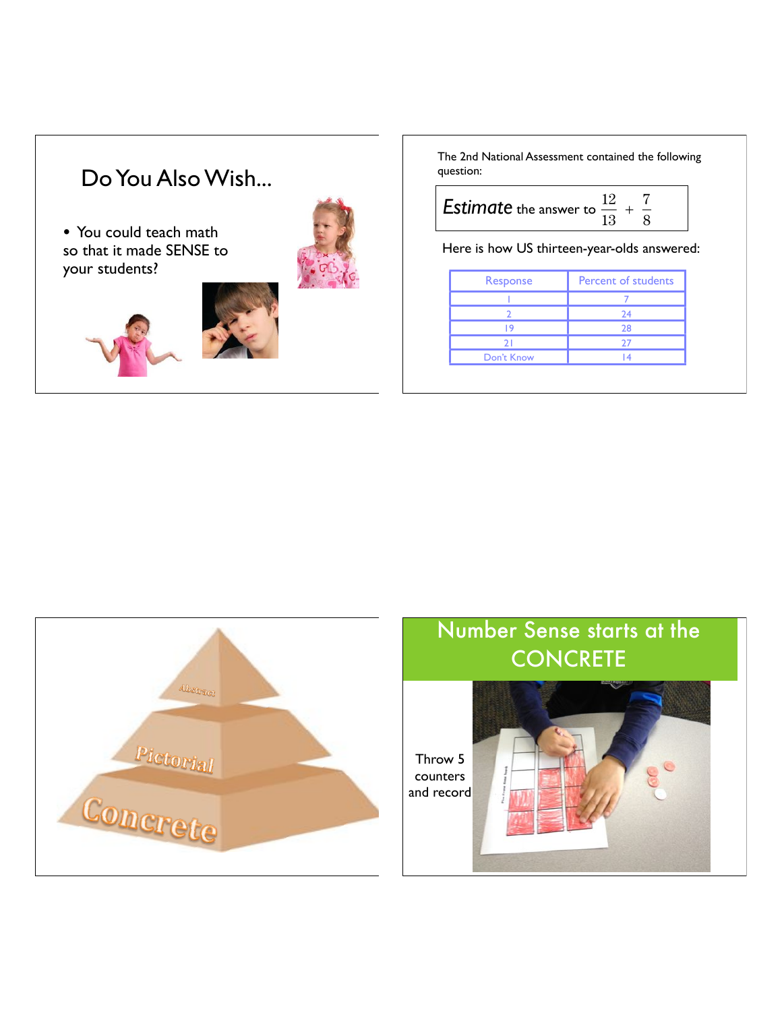## Do You Also Wish...

• You could teach math so that it made SENSE to your students?







The 2nd National Assessment contained the following question:

| <b>Estimate</b> the answer to $\frac{12}{12} + \frac{1}{6}$ |  |
|-------------------------------------------------------------|--|
|                                                             |  |

Here is how US thirteen-year-olds answered:

| Response        | <b>Percent of students</b> |  |  |
|-----------------|----------------------------|--|--|
|                 |                            |  |  |
|                 | 24                         |  |  |
|                 | 28                         |  |  |
| $\mathcal{D}^+$ | 27                         |  |  |
| Don't Know      |                            |  |  |



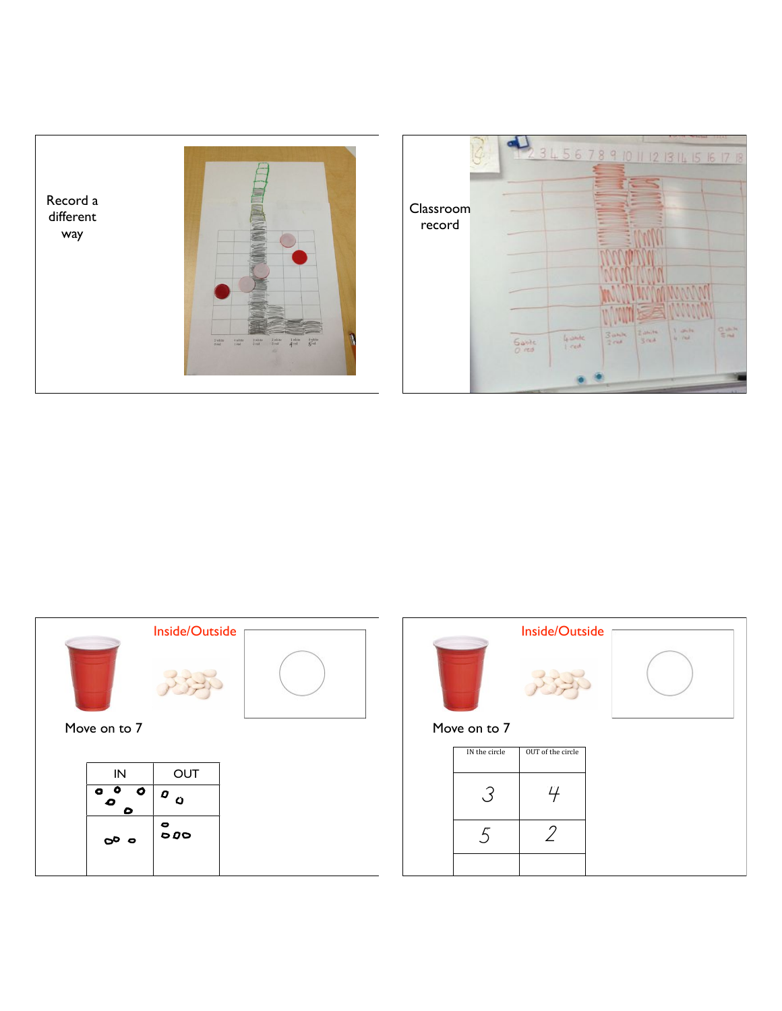





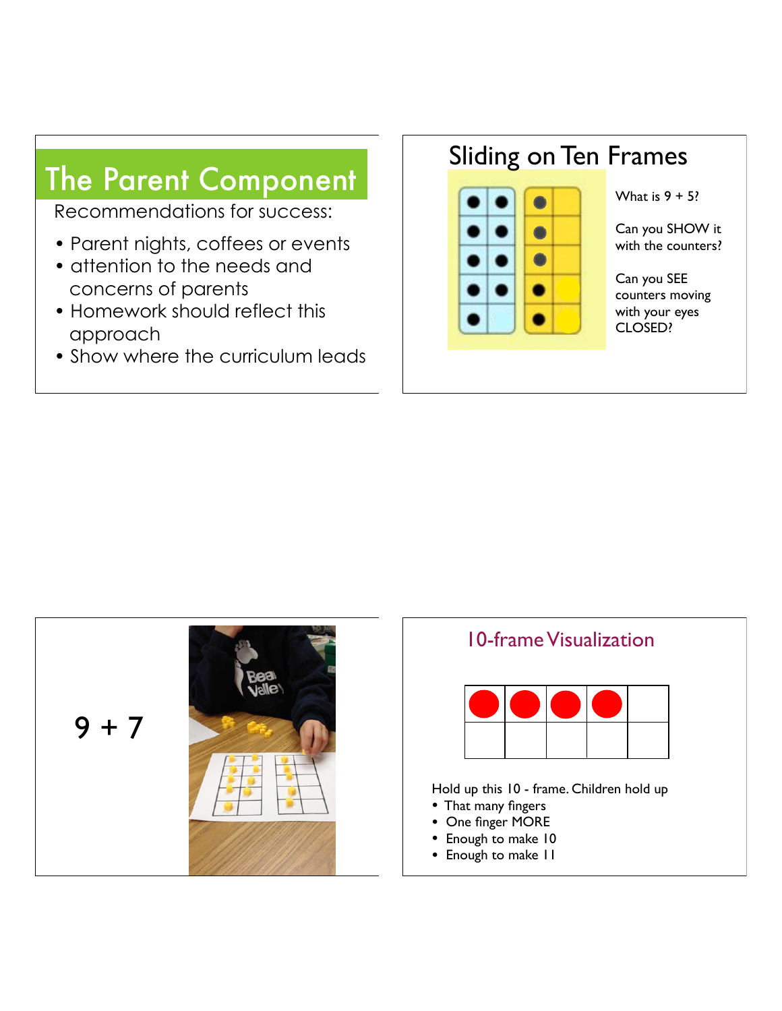# The Parent Component

Recommendations for success:

- Parent nights, coffees or events
- attention to the needs and concerns of parents
- Homework should reflect this approach
- Show where the curriculum leads

## Sliding on Ten Frames



What is  $9 + 5$ ?

Can you SHOW it with the counters?

Can you SEE counters moving with your eyes CLOSED?





- Enough to make 10
- Enough to make 11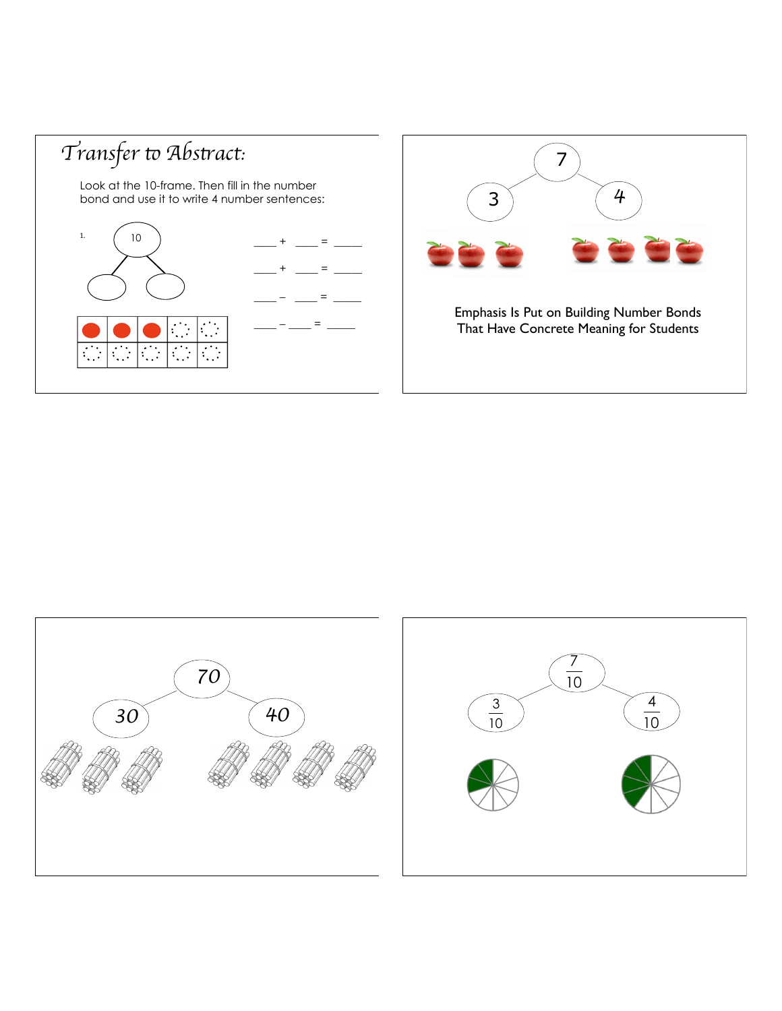





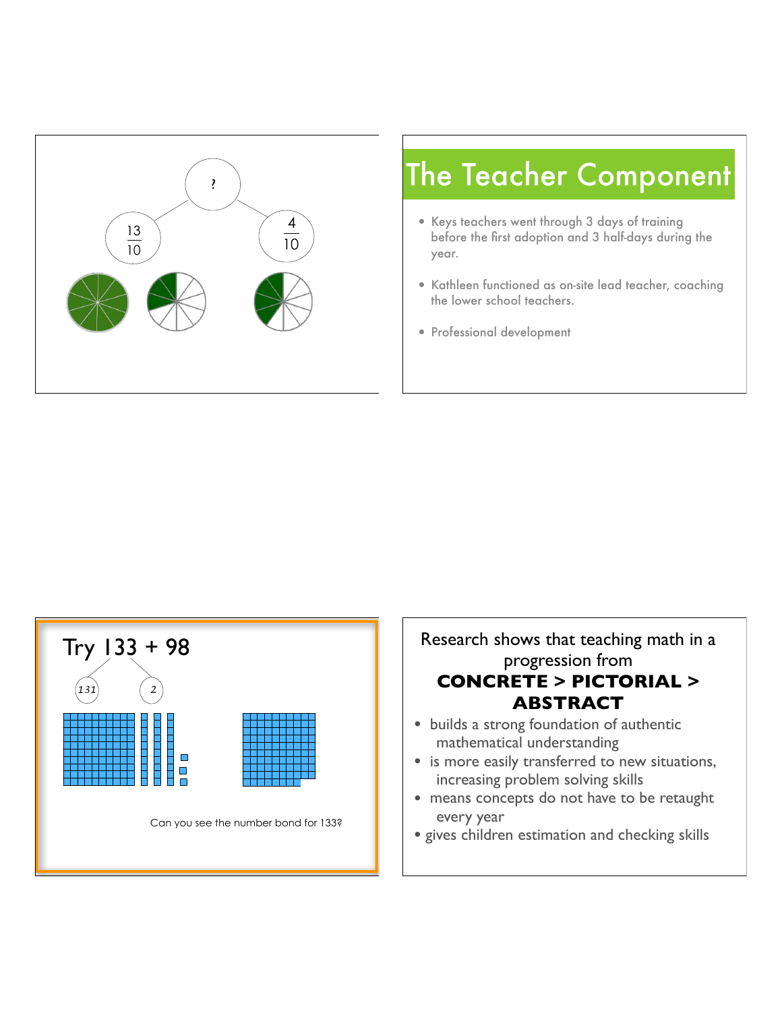

# ? The Teacher Component

- Keys teachers went through 3 days of training before the first adoption and 3 half-days during the year.
- Kathleen functioned as on-site lead teacher, coaching the lower school teachers.
- Professional development

I



## Research shows that teaching math in a progression from **CONCRETE > PICTORIAL > ABSTRACT**

- builds a strong foundation of authentic mathematical understanding
- is more easily transferred to new situations, increasing problem solving skills
- means concepts do not have to be retaught every year
- gives children estimation and checking skills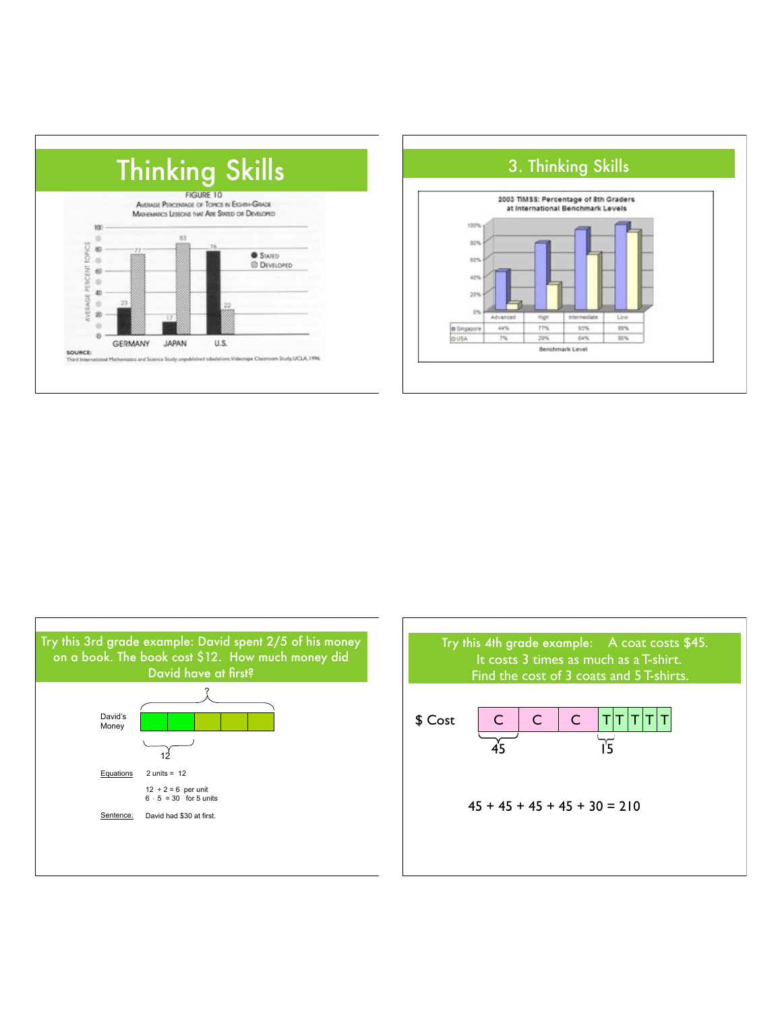





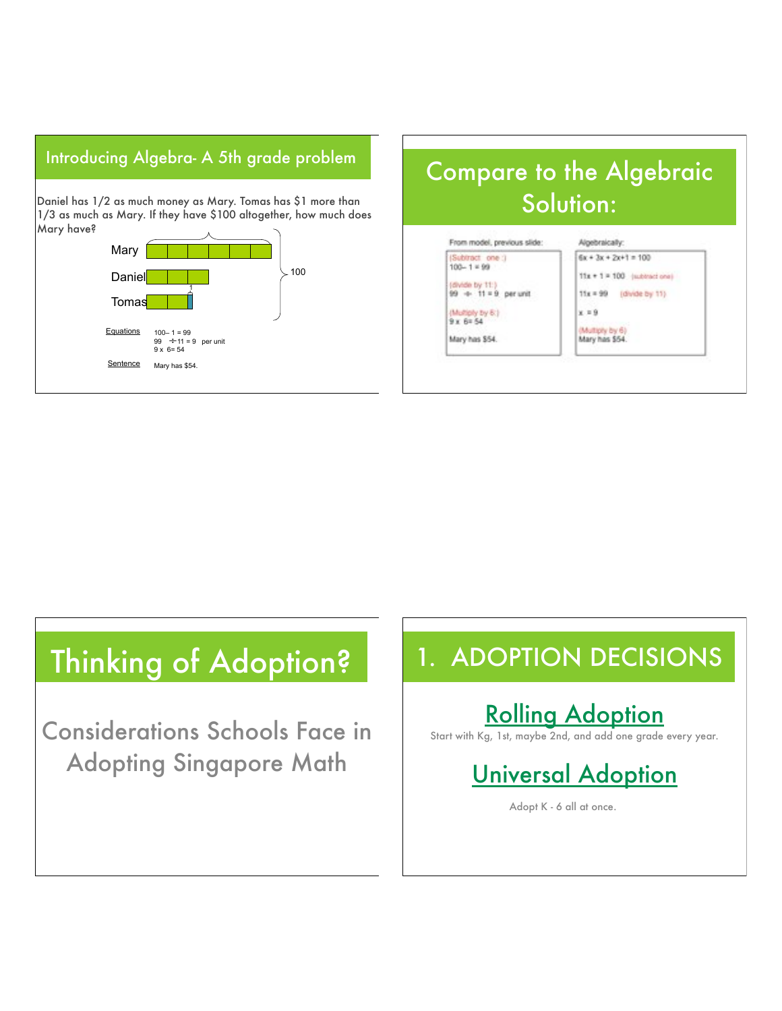## Introducing Algebra- A 5th grade problem

Daniel has 1/2 as much money as Mary. Tomas has \$1 more than 1/3 as much as Mary. If they have \$100 altogether, how much does Mary have?







# Thinking of Adoption? 1. ADOPTION DECISIONS

Considerations Schools Face in Adopting Singapore Math

## Rolling Adoption

Start with Kg, 1st, maybe 2nd, and add one grade every year.

## Universal Adoption

Adopt K - 6 all at once.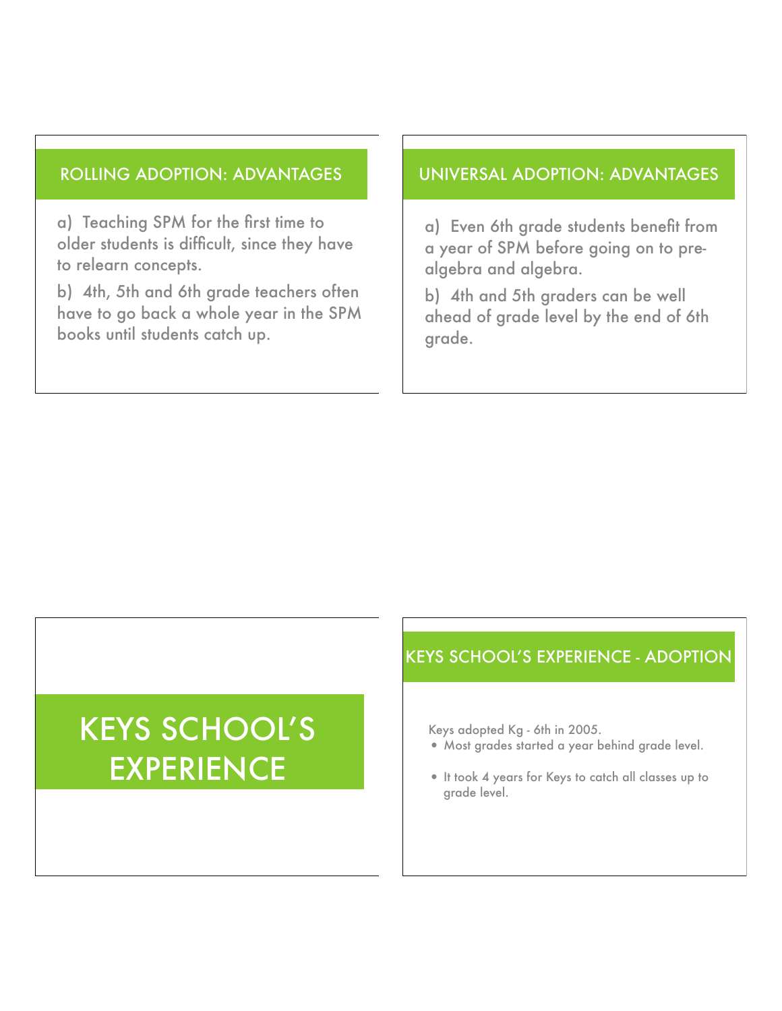### ROLLING ADOPTION: ADVANTAGES

a) Teaching SPM for the first time to older students is difficult, since they have to relearn concepts.

b) 4th, 5th and 6th grade teachers often have to go back a whole year in the SPM books until students catch up.

### UNIVERSAL ADOPTION: ADVANTAGES

a) Even 6th grade students benefit from a year of SPM before going on to prealgebra and algebra.

b) 4th and 5th graders can be well ahead of grade level by the end of 6th grade.

# KEYS SCHOOL'S EXPERIENCE

### KEYS SCHOOL'S EXPERIENCE - ADOPTION

Keys adopted Kg - 6th in 2005.

- Most grades started a year behind grade level.
- It took 4 years for Keys to catch all classes up to grade level.